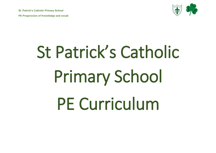**St. Patrick's Catholic Primary School**

**PE Progression of Knowledge and vocab** 



# St Patrick's Catholic Primary School PE Curriculum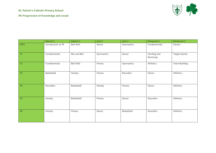#### **St. Patrick's Catholic Primary School**



|           | Advent 1           | Advent 2           | Lent 1     | Lent 2     | Pentecost 1              | Pentecost 2         |
|-----------|--------------------|--------------------|------------|------------|--------------------------|---------------------|
| EYFS      | Introduction to PE | <b>Ball skills</b> | Dance      | Gymnastics | Fundamentals             | Games               |
| Y1        | Fundamentals       | Net and Ball       | Gymnastics | Dance      | Sending and<br>Receiving | <b>Target Games</b> |
| Y2        | Fundamentals       | <b>Ball Skills</b> | Fitness    | Gymnastics | Athletics                | Team Building       |
| Y3        | Basketball         | Hockey             | Fitness    | Rounders   | Dance                    | Athletics           |
| Y4        | Rounders           | Basketball         | Hockey     | Fitness    | Dance                    | Athletics           |
| Y5        | Hockey             | Basketball         | Fitness    | Dance      | Rounders                 | Athletics           |
| <b>Y6</b> | Hockey             | Fitness            | Dance      | Basketball | Rounders                 | Athletics           |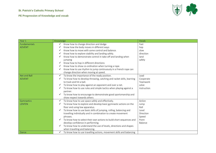

| Year 1        | Knowledge                                                                          | Vocab       |
|---------------|------------------------------------------------------------------------------------|-------------|
| Fundamentals  | Know how to change direction and dodge<br>✓                                        | Fast        |
| <b>ADVENT</b> | Know how the body moves in different ways                                          | hop         |
|               | Know how to move with some control and balance.<br>✓                               | slow        |
|               | Know how to explore stability and landing safely.                                  | direction   |
|               | Know how to demonstrate control in take-off and landing when                       | land        |
|               | jumping                                                                            | safely      |
|               | Know how to hop in different directions                                            |             |
|               | Know how to show co-ordination when turning a rope.                                |             |
|               | Know how to use rhythm to jump continuously in a French rope can<br>✓              |             |
|               | change direction when moving at speed.                                             |             |
| Net and Ball  | To know the importance of the ready position.<br>✓                                 | Lead        |
| <b>ADVENT</b> | To know how to develop throwing, catching and racket skills, learning              | Cooperate   |
|               | to track and hit a ball.                                                           | Teamwork    |
|               | To know how to play against an opponent and over a net.<br>✓                       | solve       |
|               | To know how to use rules and simple tactics when playing against a                 | instruction |
|               | partner.                                                                           |             |
|               | To know how to encourage to demonstrate good sportsmanship and<br>✓                |             |
|               | show respect towards others                                                        |             |
| Gymnastics    | To know how to use space safely and effectively.                                   | Action      |
| <b>LENTEN</b> | To know how to explore and develop basic gymnastic actions on the                  | Jump        |
|               | floor and using low apparatus.                                                     | Roll        |
|               | To know how to use basic skills of jumping, rolling, balancing and<br>$\checkmark$ | Level       |
|               | travelling individually and in combination to create movement                      | Direction   |
|               | phrases.                                                                           | Speed       |
|               | To know how to select their own actions to build short sequences and               | Point       |
|               | develop confidence in performing.                                                  | Balance     |
|               | To know how to understand the use of levels, directions and shapes                 |             |
|               | when travelling and balancing.                                                     |             |
| Dance         | To know how to use travelling actions, movement skills and balancing               |             |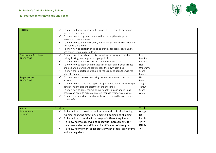



| <b>LENTEN</b>                      | To know and understand why it is important to count to music and<br>use this in their dances.<br>To know how to copy and repeat actions linking them together to<br>make short dance phrases.<br>To know how to work individually and with a partner to create ideas in<br>relation to the theme.<br>To know how to perform and also to provide feedback, beginning to<br>use dance terminology to do so.                                  |                                                                    |
|------------------------------------|--------------------------------------------------------------------------------------------------------------------------------------------------------------------------------------------------------------------------------------------------------------------------------------------------------------------------------------------------------------------------------------------------------------------------------------------|--------------------------------------------------------------------|
| Sending and Receiving<br>PENTECOST | To know how to send and receive including throwing and catching,<br>rolling, kicking, tracking and stopping a ball.<br>To know how to work with a range of different sized balls.<br>v<br>To know how to apply skills individually, in pairs and in small groups<br>and begin to organise and self-manage their own activities.<br>To know the importance of abiding by the rules to keep themselves<br>and others safe.                   | Ready<br>Position<br>Partner<br>Net<br>Underarm<br>Score<br>Points |
| <b>Target Games</b><br>PENTECOST   | To know how to develop aim using both underarm and overarm<br>actions.<br>To know how to select and apply the appropriate action for the target<br>considering the size and distance of the challenge.<br>To know how to apply their skills individually, in pairs and in small<br>groups and begin to organise and self-manage their own activities.<br>To know the importance of abiding by rules to keep themselves and<br>others safe. | Hit<br>Points<br>Target<br>Throw<br>Score<br>catch                 |

| Year 2        | Knowledge                                                     | Vocab  |
|---------------|---------------------------------------------------------------|--------|
| Fundamentals  | To know how to develop the fundamental skills of balancing,   | Dodge  |
| <b>ADVENT</b> | running, changing direction, jumping, hopping and skipping.   | jog    |
|               | To know how to work with a range of different equipment.      | hurdle |
|               | To know how to observe and recognise improvements for         | Speed  |
|               | their own and others' skills and identify areas of strength.  | steady |
|               | To know how to work collaboratively with others, taking turns | sprint |
|               | and sharing ideas.                                            |        |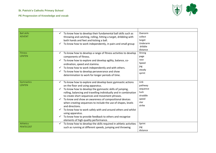

| <b>Ball skills</b><br><b>ADVENT</b>  | To know how to develop their fundamental ball skills such as<br>throwing and catching, rolling, hitting a target, dribbling with<br>both hands and feet and kicking a ball.<br>To know how to work independently, in pairs and small group                                                                                                                                                                                                                                                                                                                                                                                   | Overarm<br>collect<br>target<br>Underarm<br>dribble<br>distance            |
|--------------------------------------|------------------------------------------------------------------------------------------------------------------------------------------------------------------------------------------------------------------------------------------------------------------------------------------------------------------------------------------------------------------------------------------------------------------------------------------------------------------------------------------------------------------------------------------------------------------------------------------------------------------------------|----------------------------------------------------------------------------|
| Fitness<br><b>LENTEN</b>             | To know how to develop a range of fitness activities to develop<br>components of fitness.<br>To know how to explore and develop agility, balance, co-<br>ordination, speed and stamina.<br>To know how to work independently and with others.<br>✓<br>To know how to develop perseverance and show<br>determination to work for longer periods of time.                                                                                                                                                                                                                                                                      | Strong<br>page<br>race<br>Speed<br>jog<br>steady<br>sprint                 |
| Gymnastics<br><b>LENTEN</b>          | To know how to explore and develop basic gymnastic actions<br>✓<br>on the floor and using apparatus.<br>To know how to develop the gymnastic skills of jumping,<br>rolling, balancing and travelling individually and in combination<br>to create short sequences and movement phrases.<br>To know and show an awareness of compositional devices<br>when creating sequences to include the use of shapes, levels<br>and directions.<br>To know how to work safely with and around others and whilst<br>using apparatus.<br>To know how to provide feedback to others and recognise<br>elements of high-quality performance. | Link<br>pathway<br>sequence<br>tuck<br>straddle<br>speed<br>star<br>strike |
| <b>Athletics</b><br><b>PENTECOST</b> | To know how to develop the skills required in athletic activities<br>such as running at different speeds, jumping and throwing.                                                                                                                                                                                                                                                                                                                                                                                                                                                                                              | Sprint<br>jog<br>distance                                                  |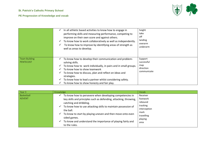

|                                   | In all athletic based activities to know how to engage in<br>✓<br>performing skills and measuring performance, competing to<br>improve on their own score and against others.<br>To know how to work collaboratively as well as independently.<br>v<br>To know how to improve by identifying areas of strength as<br>v<br>well as areas to develop.                            | height<br>take<br>off<br>landing<br>overarm<br>underarm  |
|-----------------------------------|--------------------------------------------------------------------------------------------------------------------------------------------------------------------------------------------------------------------------------------------------------------------------------------------------------------------------------------------------------------------------------|----------------------------------------------------------|
| <b>Team Building</b><br>PENTECOST | To know how to develop their communication and problem-<br>solving skills.<br>To know how to work individually, in pairs and in small groups.<br>To know how to show teamwork<br>v<br>To know how to discuss, plan and reflect on ideas and<br>v<br>strategies.<br>To know how to lead a partner whilst considering safety.<br>To know how to show honesty and fair play.<br>v | Support<br>successful<br>map<br>direction<br>communicate |

| Year 3                      | Knowledge                                                                                                                                                                                                                                                                                                                                                                                                           | Vocab                                                                                                |
|-----------------------------|---------------------------------------------------------------------------------------------------------------------------------------------------------------------------------------------------------------------------------------------------------------------------------------------------------------------------------------------------------------------------------------------------------------------|------------------------------------------------------------------------------------------------------|
| Basketball<br><b>ADVENT</b> | To know how to persevere when developing competencies in<br>key skills and principles such as defending, attacking, throwing,<br>catching and dribbling.<br>To know how to use attacking skills to maintain possession of<br>✔<br>the ball.<br>To know to start by playing uneven and then move onto even<br>✓<br>sided games.<br>To know and understand the importance of playing fairly and<br>v<br>to the rules. | Receiver<br>footwork<br>rebound<br>tracking<br>interception<br>mark<br>travelling<br>playing<br>area |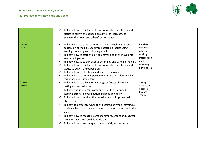

|                                 | To know how to think about how to use skills, strategies and<br>✓<br>tactics to outwit the opposition as well as learn how to<br>evaluate their own and others' performances.                                                                                                                                                                                                                                                                                                                                                                                                                                                                 |                                                                                                   |
|---------------------------------|-----------------------------------------------------------------------------------------------------------------------------------------------------------------------------------------------------------------------------------------------------------------------------------------------------------------------------------------------------------------------------------------------------------------------------------------------------------------------------------------------------------------------------------------------------------------------------------------------------------------------------------------------|---------------------------------------------------------------------------------------------------|
| Hockey<br><b>ADVENT</b>         | To know how to contribute to the game by helping to keep<br>possession of the ball, use simple attacking tactics using<br>sending, receiving and dribbling a ball.<br>To know how to start by playing uneven and then move onto<br>even sided games.<br>$\checkmark$ To know how to to think about defending and winning the ball.<br>To know how to think about how to use skills, strategies and<br>✓<br>tactics to outwit the opposition.<br>To know how to play fairly and keep to the rules.<br>$\checkmark$ To know how to be a supportive teammate and identify why<br>this behaviour is important.                                    | Receiver<br>footwork<br>rebound<br>tracking<br>interception<br>mark<br>travelling<br>playing area |
| <b>Fitness</b><br><b>LENTEN</b> | To know how to take part in a range of fitness challenges<br>testing and record scores.<br>To know about different components of fitness; speed,<br>✓<br>stamina, strength, coordination, balance and agility.<br>To know how to work at their maximum and improve their<br>✓<br>fitness levels.<br>To know to persevere when they get tired or when they find a<br>✓<br>challenge hard and are encouraged to support others to do the<br>same.<br>To know how to recognise areas for improvement and suggest<br>$\checkmark$<br>activities that they could do to do this.<br>To know how to encouraged to work safely and with control.<br>✓ | Strength<br>accurately<br>distance<br>balance<br>control                                          |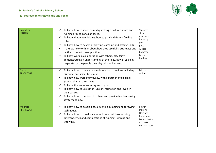

| Rounders<br><b>LENTEN</b> | To know how to score points by striking a ball into space and<br>running around cones or bases.<br>To know that when fielding, how to play in different fielding<br>roles.<br>To know how to develop throwing, catching and batting skills.<br>To know how to think about how they use skills, strategies and<br>tactics to outwit the opposition.<br>To know work in collaboration with others, play fairly<br>✓<br>demonstrating an understanding of the rules, as well as being<br>respectful of the people they play with and against. | Strength<br>strip<br>rounders<br>backstop<br>goal<br>post<br>wicket<br>backstop<br>keeper<br>feeding |
|---------------------------|--------------------------------------------------------------------------------------------------------------------------------------------------------------------------------------------------------------------------------------------------------------------------------------------------------------------------------------------------------------------------------------------------------------------------------------------------------------------------------------------------------------------------------------------|------------------------------------------------------------------------------------------------------|
| Dance<br><b>PENTECOST</b> | To know how to create dances in relation to an idea including<br>historical and scientific stimuli.<br>To know how work individually, with a partner and in small<br>groups, sharing their ideas.<br>To know the use of counting and rhythm.<br>$\checkmark$<br>To know how to use canon, unison, formation and levels in<br>their dances.<br>To know how to perform to others and provide feedback using<br>key terminology.                                                                                                              | Mirror,<br>action                                                                                    |
| Athletics<br>PENTECOST    | To know how to develop basic running, jumping and throwing<br>techniques.<br>To know how to run distances and time that involve using<br>different styles and combinations of running, jumping and<br>throwing.                                                                                                                                                                                                                                                                                                                            | Power<br>Stamina<br>Officiate<br>Preservers<br>Determination<br>Accurate<br>Personal best            |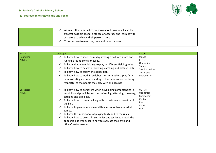

| As in all athletic activities, to know about how to achieve the |
|-----------------------------------------------------------------|
| greatest possible speed, distance or accuracy and learn how to  |
| persevere to achieve their personal best.                       |
| To know how to measure, time and record scores.                 |
|                                                                 |

| Year 4                      | Knowledge                                                                                                                                                                                                                                                                                                                                                                                                                                                                                                                          | Vocab                                                                                      |
|-----------------------------|------------------------------------------------------------------------------------------------------------------------------------------------------------------------------------------------------------------------------------------------------------------------------------------------------------------------------------------------------------------------------------------------------------------------------------------------------------------------------------------------------------------------------------|--------------------------------------------------------------------------------------------|
| Rounders<br><b>ADVENT</b>   | To know how to score points by striking a ball into space and<br>✓<br>running around cones or bases.<br>To know that when fielding, to play in different fielding roles.<br>$\checkmark$<br>To know how to develop throwing, catching and batting skills.<br>$\checkmark$<br>To know how to outwit the opposition.<br>To know how to work in collaboration with others, play fairly<br>demonstrating an understanding of the rules, as well as being<br>respectful of the people they play with and against.                       | Stance<br>Retrieve<br>Opposition<br>Stump<br>Two handed pick<br>Technique<br>Short barrier |
| Basketball<br><b>ADVENT</b> | To know how to persevere when developing competencies in<br>key skills and principles such as defending, attacking, throwing,<br>catching and dribbling.<br>To know how to use attacking skills to maintain possession of<br>the ball.<br>To know to play on uneven and then move onto even sided<br>games.<br>To know the importance of playing fairly and to the rules.<br>To know how to use skills, strategies and tactics to outwit the<br>opposition as well as learn how to evaluate their own and<br>others' performances. | <b>OUTWIT</b><br>Opposition<br>Component<br>Contact<br>Pivot<br>Court<br>Field             |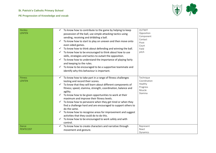

| Hockey<br>LENTEN          | To know how to contribute to the game by helping to keep<br>possession of the ball, use simple attacking tactics using<br>sending, receiving and dribbling a ball.                                                                                                                                                                                                                                                                                                                                                                                                                                                                                                          | <b>OUTWIT</b><br>Opposition<br>Component                              |
|---------------------------|-----------------------------------------------------------------------------------------------------------------------------------------------------------------------------------------------------------------------------------------------------------------------------------------------------------------------------------------------------------------------------------------------------------------------------------------------------------------------------------------------------------------------------------------------------------------------------------------------------------------------------------------------------------------------------|-----------------------------------------------------------------------|
|                           | To know how to start to play on uneven and then move onto<br>even sided games.<br>To know how to think about defending and winning the ball.<br>To know how to be encouraged to think about how to use<br>skills, strategies and tactics to outwit the opposition.<br>To know how to understand the importance of playing fairly<br>and keeping to the rules.<br>To know to be encouraged to be a supportive teammate and<br>identify why this behaviour is important.                                                                                                                                                                                                      | Contact<br>Pivot<br>Court<br>Field<br>pitch                           |
| <b>Fitness</b><br>LENTEN  | To know how to take part in a range of fitness challenges<br>testing and record their scores.<br>To know that they will learn about different components of<br>fitness; speed, stamina, strength, coordination, balance and<br>agility.<br>To know how to be given opportunities to work at their<br>maximum and improve their fitness levels.<br>To know how to persevere when they get tired or when they<br>find a challenge hard and are encouraged to support others to<br>do the same.<br>To know how to recognise areas for improvement and suggest<br>activities that they could do to do this.<br>To know how to be encouraged to work safely and with<br>control. | Technique<br>Coordination<br>Healthy<br>Progress<br>Muscle<br>Stamina |
| Dance<br><b>PENTECOST</b> | To know how to create characters and narrative through<br>movement and gesture.                                                                                                                                                                                                                                                                                                                                                                                                                                                                                                                                                                                             | Represent<br>React<br>Dynamics                                        |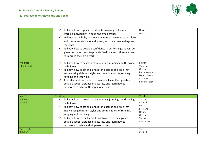

|                        | To know how to gain inspiration from a range of stimuli,<br>working individually, in pairs and small groups.<br>In dance as a whole, to know how to use movement to explore<br>v<br>and communicate ideas and issues, and their own feelings and<br>thoughts.<br>To know how to develop confidence in performing and will be<br>$\checkmark$<br>given the opportunity to provide feedback and utilise feedback<br>to improve their own work. | Unison<br>control                                                                           |
|------------------------|----------------------------------------------------------------------------------------------------------------------------------------------------------------------------------------------------------------------------------------------------------------------------------------------------------------------------------------------------------------------------------------------------------------------------------------------|---------------------------------------------------------------------------------------------|
| Athletics<br>PENTECOST | To know how to develop basic running, jumping and throwing<br>techniques.<br>To know how to set challenges for distance and time that<br>involve using different styles and combinations of running,<br>jumping and throwing.<br>As in all athletic activities, to how to achieve their greatest<br>v<br>possible speed, distance or accuracy and learn how to<br>persevere to achieve their personal best.                                  | Power<br>Stamina<br>Officiate<br>Perseverance<br>Determination<br>Accuracy<br>Personal best |

| Year 5                      | Knowledge                                                                                                                                                                                                                                                                                                                                                                                                 | Vocab                                                                                 |
|-----------------------------|-----------------------------------------------------------------------------------------------------------------------------------------------------------------------------------------------------------------------------------------------------------------------------------------------------------------------------------------------------------------------------------------------------------|---------------------------------------------------------------------------------------|
| Hockey<br><b>ADVENT</b>     | To know how to develop basic running, jumping and throwing<br>techniques.<br>To know how to set challenges for distance and time that<br>✓<br>involve using different styles and combinations of running,<br>jumping and throwing.<br>To know how to think about how to achieve their greatest<br>✓<br>possible speed, distance or accuracy and learn how to<br>persevere to achieve their personal best. | Tactics<br>Control<br>Foul<br>Pressure<br>Onside<br>Offside<br>Support<br>obstruction |
| Basketball<br><b>ADVENT</b> |                                                                                                                                                                                                                                                                                                                                                                                                           | <b>Tactics</b><br>Control                                                             |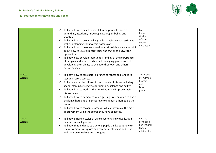



|                                 | To know how to develop key skills and principles such as<br>defending, attacking, throwing, catching, dribbling and<br>shooting.<br>To know how to use attacking skills to maintain possession as<br>well as defending skills to gain possession.<br>To know how to be encouraged to work collaboratively to think<br>about how to use skills, strategies and tactics to outwit the<br>opposition.<br>To know how develop their understanding of the importance<br>✓<br>of fair play and honesty while self managing games, as well as<br>developing their ability to evaluate their own and others'<br>performances. | Foul<br>Pressure<br>Onside<br>Offside<br>Support<br>obstruction |
|---------------------------------|-----------------------------------------------------------------------------------------------------------------------------------------------------------------------------------------------------------------------------------------------------------------------------------------------------------------------------------------------------------------------------------------------------------------------------------------------------------------------------------------------------------------------------------------------------------------------------------------------------------------------|-----------------------------------------------------------------|
| <b>Fitness</b><br><b>LENTEN</b> | To know how to take part in a range of fitness challenges to<br>test and record scores.<br>To know about the different components of fitness including<br>✓<br>speed, stamina, strength, coordination, balance and agility.<br>To know how to work at their maximum and improve their<br>✓<br>fitness levels.<br>To know how to persevere when getting tired or when to find a<br>✓<br>challenge hard and are encourage to support others to do the<br>same.<br>To know how to recognise areas in which they make the most<br>✓<br>improvement using the scores they have collected.                                  | Technique<br>Momentum<br>Rhythm<br>Agility<br>Drive<br>power    |
| Dance<br><b>LENTEN</b>          | To know different styles of dance, working individually, as a<br>$\checkmark$<br>pair and in small groups.<br>To know that in dance as a whole, pupils think about how to<br>use movement to explore and communicate ideas and issues,<br>and their own feelings and thoughts.                                                                                                                                                                                                                                                                                                                                        | Posture<br>Formation<br>Performance<br>Canon<br>relationship    |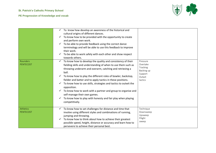

|                              | To know how develop an awareness of the historical and<br>cultural origins of different dances.<br>To know how to be provided with the opportunity to create<br>and perform own work.<br>To be able to provide feedback using the correct dance<br>✓<br>terminology and will be able to use this feedback to improve<br>their work.<br>To be able to work safely with each other and show respect<br>towards others.                                                                                                                                                                                          |                                                                                |
|------------------------------|---------------------------------------------------------------------------------------------------------------------------------------------------------------------------------------------------------------------------------------------------------------------------------------------------------------------------------------------------------------------------------------------------------------------------------------------------------------------------------------------------------------------------------------------------------------------------------------------------------------|--------------------------------------------------------------------------------|
| <b>Rounders</b><br>PENTECOST | To know how to develop the quality and consistency of their<br>fielding skills and understanding of when to use them such as<br>throwing underarm and overarm, catching and retrieving a<br>ball.<br>To know how to play the different roles of bowler, backstop,<br>fielder and batter and to apply tactics in these positions.<br>To know how to use skills, strategies and tactics to outwit the<br>opposition.<br>To know how to work with a partner and group to organise and<br>✓<br>self-manage their own games.<br>To know how to play with honesty and fair play when playing<br>✓<br>competitively. | Pressure<br>Overtake<br>Tracking<br>Backing up<br>Support<br>Outwit<br>tactics |
| Athletics<br>PENTECOST       | To know how to set challenges for distance and time that<br>✓<br>involve using different styles and combinations of running,<br>jumping and throwing.<br>To know how to think about how to achieve their greatest<br>possible speed, height, distance or accuracy and learn how to<br>persevere to achieve their personal best.                                                                                                                                                                                                                                                                               | Technique<br>Downsweep<br>Upsweep<br>Fllight<br>sweep                          |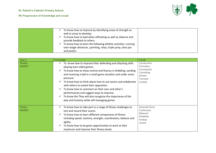

| To know how to improve by identifying areas of strength as<br>well as areas to develop.                                                           |  |
|---------------------------------------------------------------------------------------------------------------------------------------------------|--|
| To know how to lead when officiating as well as observe and<br>provide feedback to others.                                                        |  |
| To know how to learn the following athletic activities: running<br>over longer distances, sprinting, relay, triple jump, shot put<br>and javelin. |  |

| Year 6                   | Knowledge                                                                                                                                                                                                                                                                                                                                                                                                                                                                                                                                                                                                              | Vocab                                                                                   |
|--------------------------|------------------------------------------------------------------------------------------------------------------------------------------------------------------------------------------------------------------------------------------------------------------------------------------------------------------------------------------------------------------------------------------------------------------------------------------------------------------------------------------------------------------------------------------------------------------------------------------------------------------------|-----------------------------------------------------------------------------------------|
| Hockey<br><b>ADVENT</b>  | To know how to improve their defending and attacking skills<br>✓<br>playing even-sided games.<br>To know how to show control and fluency in dribbling, sending<br>$\checkmark$<br>and receiving a ball in a small game situation and under some<br>pressure.<br>To know how to think about how to use tactics and collaborate<br>$\checkmark$<br>with others to outwit their opposition.<br>To know how to comment on their own and other's<br>performances and suggest ways to improve.<br>To know the They will also recognise the importance of fair<br>$\checkmark$<br>play and honesty while self-managing games. | Consecutive<br>Formation<br>Consistently<br>Conceding<br>Dictate<br>Turnover<br>Contest |
| Fitness<br><b>ADVENT</b> | To know how to take part in a range of fitness challenges to<br>test and record their scores.<br>To know how to learn different components of fitness<br>$\checkmark$<br>including speed, stamina, strength, coordination, balance and<br>agility.<br>To know how to be given opportunities to work at their<br>maximum and improve their fitness levels.                                                                                                                                                                                                                                                              | Generate force<br>Continuous<br>Measure<br>Flexibility<br>Analyse<br>record             |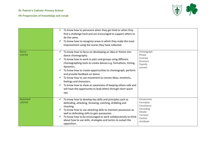

|                             | To know how to persevere when they get tired or when they<br>find a challenge hard and are encouraged to support others to<br>do the same.<br>To know how to recognise areas in which they make the most<br>improvement using the scores they have collected.                                                                                                                                                                                                                                                                                          |                                                                                                    |
|-----------------------------|--------------------------------------------------------------------------------------------------------------------------------------------------------------------------------------------------------------------------------------------------------------------------------------------------------------------------------------------------------------------------------------------------------------------------------------------------------------------------------------------------------------------------------------------------------|----------------------------------------------------------------------------------------------------|
| Dance<br>LENTEN             | To know how to focus on developing an idea or theme into<br>dance choreography.<br>To know how to work in pairs and groups using different<br>choreographing tools to create dances e.g. formations, timing,<br>dynamics.<br>To know how to create opportunities to choreograph, perform<br>and provide feedback on dance.<br>To know how to use movement to convey ideas, emotions,<br>feelings and characters.<br>To know how to show an awareness of keeping others safe and<br>will have the opportunity to lead others through short warm<br>ups. | Choreograph<br>Phrase<br>Contrast<br>Structure<br>Fluently<br>connect                              |
| <b>Basketball</b><br>LENTEN | To know how to develop key skills and principles such as<br>$\checkmark$<br>defending, attacking, throwing, catching, dribbling and<br>shooting.<br>To know how to use attacking skills to maintain possession as<br>well as defending skills to gain possession.<br>To know how to be encouraged to work collaboratively to think<br>about how to use skills, strategies and tactics to outwit the<br>opposition.                                                                                                                                     | Consecutive<br>Formation<br>Consistency<br>Conceding<br>Dictate<br>Turnover<br>Contest<br>shutdown |